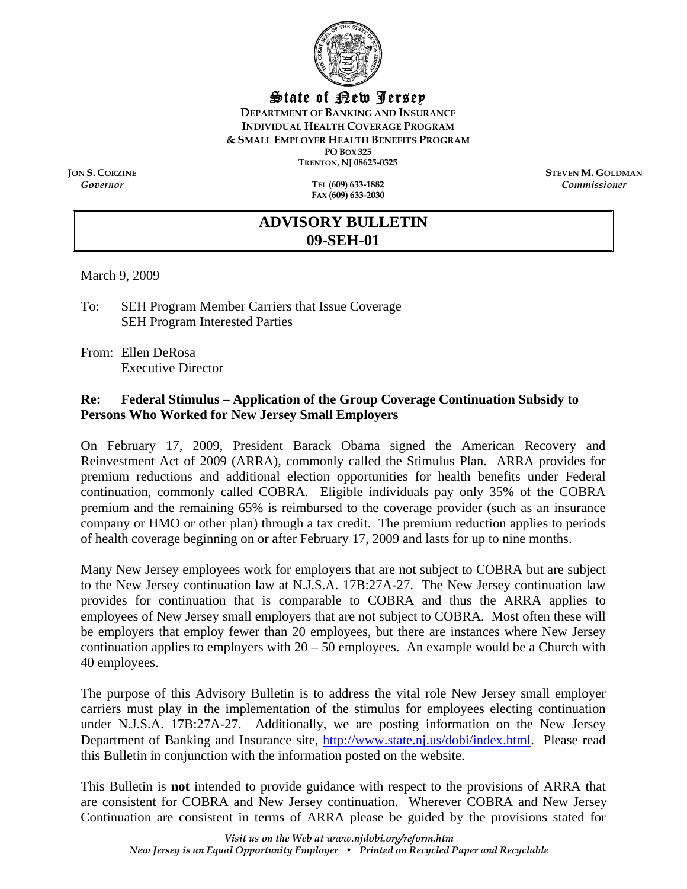

# State of New Jersey

**DEPARTMENT OF BANKING AND INSURANCE INDIVIDUAL HEALTH COVERAGE PROGRAM & SMALL EMPLOYER HEALTH BENEFITS PROGRAM PO BOX 325 TRENTON, NJ 08625-0325** 

*Governor* **TEL (609) 633-1882 FAX (609) 633-2030** 

**JON S. CORZINE**<br> **STEVEN M. GOLDMAN**<br> **STEVEN M. GOLDMAN**<br> **STEVEN M. GOLDMAN** *Commissioner* 

# **ADVISORY BULLETIN 09-SEH-01**

March 9, 2009

To: SEH Program Member Carriers that Issue Coverage SEH Program Interested Parties

From: Ellen DeRosa Executive Director

#### **Re: Federal Stimulus – Application of the Group Coverage Continuation Subsidy to Persons Who Worked for New Jersey Small Employers**

On February 17, 2009, President Barack Obama signed the American Recovery and Reinvestment Act of 2009 (ARRA), commonly called the Stimulus Plan. ARRA provides for premium reductions and additional election opportunities for health benefits under Federal continuation, commonly called COBRA. Eligible individuals pay only 35% of the COBRA premium and the remaining 65% is reimbursed to the coverage provider (such as an insurance company or HMO or other plan) through a tax credit. The premium reduction applies to periods of health coverage beginning on or after February 17, 2009 and lasts for up to nine months.

Many New Jersey employees work for employers that are not subject to COBRA but are subject to the New Jersey continuation law at N.J.S.A. 17B:27A-27. The New Jersey continuation law provides for continuation that is comparable to COBRA and thus the ARRA applies to employees of New Jersey small employers that are not subject to COBRA. Most often these will be employers that employ fewer than 20 employees, but there are instances where New Jersey continuation applies to employers with  $20 - 50$  employees. An example would be a Church with 40 employees.

The purpose of this Advisory Bulletin is to address the vital role New Jersey small employer carriers must play in the implementation of the stimulus for employees electing continuation under N.J.S.A. 17B:27A-27. Additionally, we are posting information on the New Jersey Department of Banking and Insurance site, <http://www.state.nj.us/dobi/index.html>. Please read this Bulletin in conjunction with the information posted on the website.

This Bulletin is **not** intended to provide guidance with respect to the provisions of ARRA that are consistent for COBRA and New Jersey continuation. Wherever COBRA and New Jersey Continuation are consistent in terms of ARRA please be guided by the provisions stated for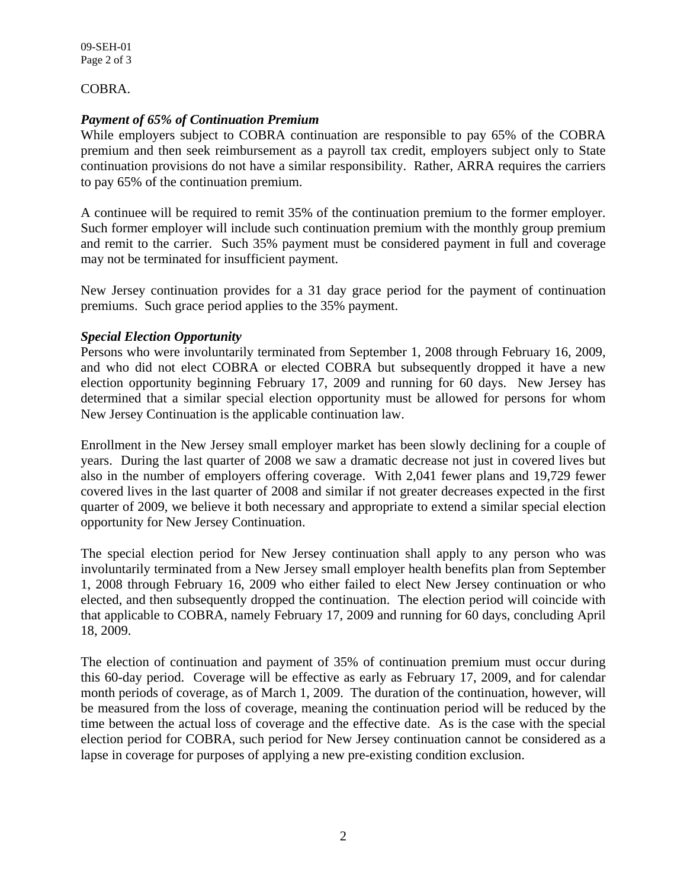09-SEH-01 Page 2 of 3

COBRA.

## *Payment of 65% of Continuation Premium*

While employers subject to COBRA continuation are responsible to pay 65% of the COBRA premium and then seek reimbursement as a payroll tax credit, employers subject only to State continuation provisions do not have a similar responsibility. Rather, ARRA requires the carriers to pay 65% of the continuation premium.

A continuee will be required to remit 35% of the continuation premium to the former employer. Such former employer will include such continuation premium with the monthly group premium and remit to the carrier. Such 35% payment must be considered payment in full and coverage may not be terminated for insufficient payment.

New Jersey continuation provides for a 31 day grace period for the payment of continuation premiums. Such grace period applies to the 35% payment.

#### *Special Election Opportunity*

Persons who were involuntarily terminated from September 1, 2008 through February 16, 2009, and who did not elect COBRA or elected COBRA but subsequently dropped it have a new election opportunity beginning February 17, 2009 and running for 60 days. New Jersey has determined that a similar special election opportunity must be allowed for persons for whom New Jersey Continuation is the applicable continuation law.

Enrollment in the New Jersey small employer market has been slowly declining for a couple of years. During the last quarter of 2008 we saw a dramatic decrease not just in covered lives but also in the number of employers offering coverage. With 2,041 fewer plans and 19,729 fewer covered lives in the last quarter of 2008 and similar if not greater decreases expected in the first quarter of 2009, we believe it both necessary and appropriate to extend a similar special election opportunity for New Jersey Continuation.

The special election period for New Jersey continuation shall apply to any person who was involuntarily terminated from a New Jersey small employer health benefits plan from September 1, 2008 through February 16, 2009 who either failed to elect New Jersey continuation or who elected, and then subsequently dropped the continuation. The election period will coincide with that applicable to COBRA, namely February 17, 2009 and running for 60 days, concluding April 18, 2009.

The election of continuation and payment of 35% of continuation premium must occur during this 60-day period. Coverage will be effective as early as February 17, 2009, and for calendar month periods of coverage, as of March 1, 2009. The duration of the continuation, however, will be measured from the loss of coverage, meaning the continuation period will be reduced by the time between the actual loss of coverage and the effective date. As is the case with the special election period for COBRA, such period for New Jersey continuation cannot be considered as a lapse in coverage for purposes of applying a new pre-existing condition exclusion.